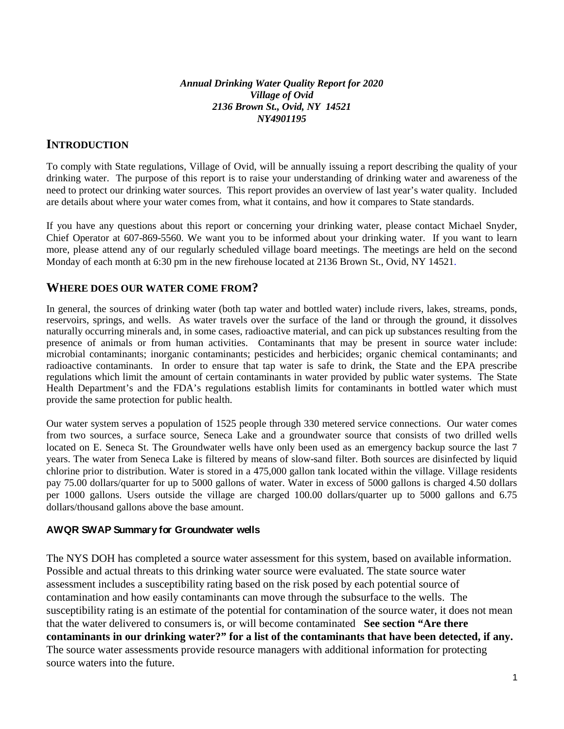#### *Annual Drinking Water Quality Report for 2020 Village of Ovid 2136 Brown St., Ovid, NY 14521 NY4901195*

# **INTRODUCTION**

To comply with State regulations, Village of Ovid, will be annually issuing a report describing the quality of your drinking water. The purpose of this report is to raise your understanding of drinking water and awareness of the need to protect our drinking water sources. This report provides an overview of last year's water quality. Included are details about where your water comes from, what it contains, and how it compares to State standards.

If you have any questions about this report or concerning your drinking water, please contact Michael Snyder, Chief Operator at 607-869-5560. We want you to be informed about your drinking water. If you want to learn more, please attend any of our regularly scheduled village board meetings. The meetings are held on the second Monday of each month at 6:30 pm in the new firehouse located at 2136 Brown St., Ovid, NY 14521.

# **WHERE DOES OUR WATER COME FROM?**

In general, the sources of drinking water (both tap water and bottled water) include rivers, lakes, streams, ponds, reservoirs, springs, and wells. As water travels over the surface of the land or through the ground, it dissolves naturally occurring minerals and, in some cases, radioactive material, and can pick up substances resulting from the presence of animals or from human activities. Contaminants that may be present in source water include: microbial contaminants; inorganic contaminants; pesticides and herbicides; organic chemical contaminants; and radioactive contaminants. In order to ensure that tap water is safe to drink, the State and the EPA prescribe regulations which limit the amount of certain contaminants in water provided by public water systems. The State Health Department's and the FDA's regulations establish limits for contaminants in bottled water which must provide the same protection for public health.

Our water system serves a population of 1525 people through 330 metered service connections. Our water comes from two sources, a surface source, Seneca Lake and a groundwater source that consists of two drilled wells located on E. Seneca St. The Groundwater wells have only been used as an emergency backup source the last 7 years. The water from Seneca Lake is filtered by means of slow-sand filter. Both sources are disinfected by liquid chlorine prior to distribution. Water is stored in a 475,000 gallon tank located within the village. Village residents pay 75.00 dollars/quarter for up to 5000 gallons of water. Water in excess of 5000 gallons is charged 4.50 dollars per 1000 gallons. Users outside the village are charged 100.00 dollars/quarter up to 5000 gallons and 6.75 dollars/thousand gallons above the base amount.

### **AWQR SWAP Summary for Groundwater wells**

The NYS DOH has completed a source water assessment for this system, based on available information. Possible and actual threats to this drinking water source were evaluated. The state source water assessment includes a susceptibility rating based on the risk posed by each potential source of contamination and how easily contaminants can move through the subsurface to the wells. The susceptibility rating is an estimate of the potential for contamination of the source water, it does not mean that the water delivered to consumers is, or will become contaminated **See section "Are there contaminants in our drinking water?" for a list of the contaminants that have been detected, if any.**  The source water assessments provide resource managers with additional information for protecting source waters into the future.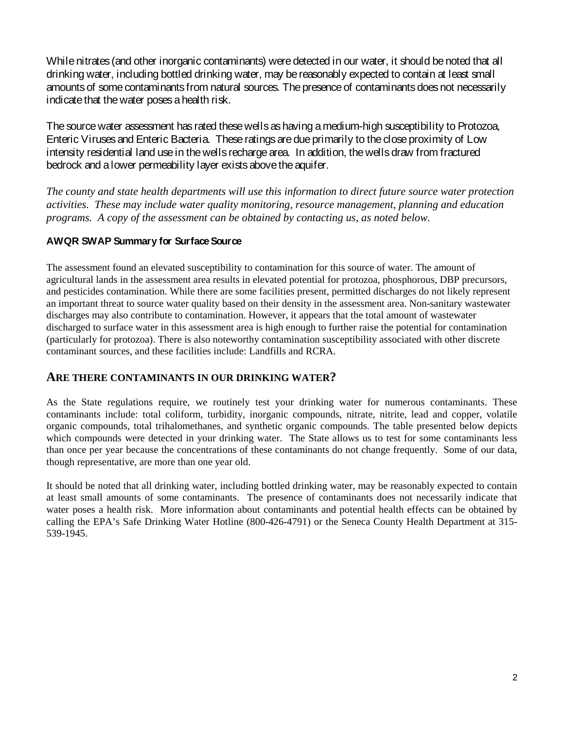While nitrates (and other inorganic contaminants) were detected in our water, it should be noted that all drinking water, including bottled drinking water, may be reasonably expected to contain at least small amounts of some contaminants from natural sources. The presence of contaminants does not necessarily indicate that the water poses a health risk.

The source water assessment has rated these wells as having a medium-high susceptibility to Protozoa, Enteric Viruses and Enteric Bacteria. These ratings are due primarily to the close proximity of Low intensity residential land use in the wells recharge area. In addition, the wells draw from fractured bedrock and a lower permeability layer exists above the aquifer.

*The county and state health departments will use this information to direct future source water protection activities. These may include water quality monitoring, resource management, planning and education programs. A copy of the assessment can be obtained by contacting us, as noted below.*

### **AWQR SWAP Summary for Surface Source**

The assessment found an elevated susceptibility to contamination for this source of water. The amount of agricultural lands in the assessment area results in elevated potential for protozoa, phosphorous, DBP precursors, and pesticides contamination. While there are some facilities present, permitted discharges do not likely represent an important threat to source water quality based on their density in the assessment area. Non-sanitary wastewater discharges may also contribute to contamination. However, it appears that the total amount of wastewater discharged to surface water in this assessment area is high enough to further raise the potential for contamination (particularly for protozoa). There is also noteworthy contamination susceptibility associated with other discrete contaminant sources, and these facilities include: Landfills and RCRA.

### **ARE THERE CONTAMINANTS IN OUR DRINKING WATER?**

As the State regulations require, we routinely test your drinking water for numerous contaminants. These contaminants include: total coliform, turbidity, inorganic compounds, nitrate, nitrite, lead and copper, volatile organic compounds, total trihalomethanes, and synthetic organic compounds. The table presented below depicts which compounds were detected in your drinking water. The State allows us to test for some contaminants less than once per year because the concentrations of these contaminants do not change frequently. Some of our data, though representative, are more than one year old.

It should be noted that all drinking water, including bottled drinking water, may be reasonably expected to contain at least small amounts of some contaminants. The presence of contaminants does not necessarily indicate that water poses a health risk. More information about contaminants and potential health effects can be obtained by calling the EPA's Safe Drinking Water Hotline (800-426-4791) or the Seneca County Health Department at 315- 539-1945.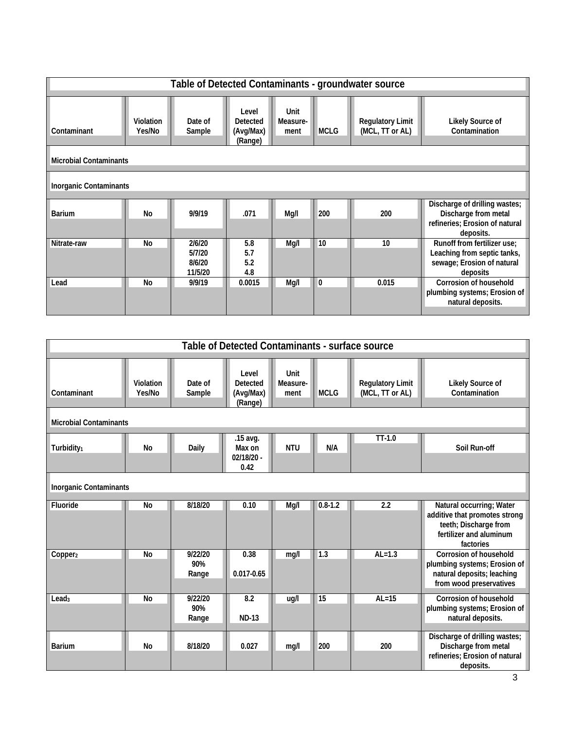| Table of Detected Contaminants - groundwater source |                            |                                       |                                                  |                          |              |                                            |                                                                                                      |
|-----------------------------------------------------|----------------------------|---------------------------------------|--------------------------------------------------|--------------------------|--------------|--------------------------------------------|------------------------------------------------------------------------------------------------------|
| Contaminant                                         | <b>Violation</b><br>Yes/No | Date of<br>Sample                     | Level<br><b>Detected</b><br>(Avg/Max)<br>(Range) | Unit<br>Measure-<br>ment | <b>MCLG</b>  | <b>Regulatory Limit</b><br>(MCL, TT or AL) | Likely Source of<br>Contamination                                                                    |
| <b>Microbial Contaminants</b>                       |                            |                                       |                                                  |                          |              |                                            |                                                                                                      |
| <b>Inorganic Contaminants</b>                       |                            |                                       |                                                  |                          |              |                                            |                                                                                                      |
| <b>Barium</b>                                       | No                         | 9/9/19                                | .071                                             | Mg/I                     | 200          | 200                                        | Discharge of drilling wastes;<br>Discharge from metal<br>refineries; Erosion of natural<br>deposits. |
| Nitrate-raw                                         | No                         | 2/6/20<br>5/7/20<br>8/6/20<br>11/5/20 | 5.8<br>5.7<br>5.2<br>4.8                         | Mg/I                     | 10           | 10                                         | Runoff from fertilizer use;<br>Leaching from septic tanks,<br>sewage; Erosion of natural<br>deposits |
| Lead                                                | <b>No</b>                  | 9/9/19                                | 0.0015                                           | Mg/I                     | $\mathbf{0}$ | 0.015                                      | <b>Corrosion of household</b><br>plumbing systems; Erosion of<br>natural deposits.                   |

| Table of Detected Contaminants - surface source |                     |                         |                                                  |                          |             |                                            |                                                                                                                            |
|-------------------------------------------------|---------------------|-------------------------|--------------------------------------------------|--------------------------|-------------|--------------------------------------------|----------------------------------------------------------------------------------------------------------------------------|
| Contaminant                                     | Violation<br>Yes/No | Date of<br>Sample       | Level<br><b>Detected</b><br>(Avg/Max)<br>(Range) | Unit<br>Measure-<br>ment | <b>MCLG</b> | <b>Regulatory Limit</b><br>(MCL, TT or AL) | <b>Likely Source of</b><br>Contamination                                                                                   |
| <b>Microbial Contaminants</b>                   |                     |                         |                                                  |                          |             |                                            |                                                                                                                            |
| Turbidity <sub>1</sub>                          | <b>No</b>           | Daily                   | .15 avg.<br>Max on<br>$02/18/20 -$<br>0.42       | <b>NTU</b>               | N/A         | $TT-1.0$                                   | Soil Run-off                                                                                                               |
| <b>Inorganic Contaminants</b>                   |                     |                         |                                                  |                          |             |                                            |                                                                                                                            |
| Fluoride                                        | No                  | 8/18/20                 | 0.10                                             | Mg/I                     | $0.8 - 1.2$ | 2.2                                        | Natural occurring; Water<br>additive that promotes strong<br>teeth; Discharge from<br>fertilizer and aluminum<br>factories |
| Copper <sub>2</sub>                             | No                  | 9/22/20<br>90%<br>Range | 0.38<br>$0.017 - 0.65$                           | mg/l                     | 1.3         | $AL=1.3$                                   | <b>Corrosion of household</b><br>plumbing systems; Erosion of<br>natural deposits; leaching<br>from wood preservatives     |
| Lead <sub>3</sub>                               | No                  | 9/22/20<br>90%<br>Range | 8.2<br><b>ND-13</b>                              | ug/l                     | 15          | $AL=15$                                    | Corrosion of household<br>plumbing systems; Erosion of<br>natural deposits.                                                |
| <b>Barium</b>                                   | <b>No</b>           | 8/18/20                 | 0.027                                            | mg/l                     | 200         | 200                                        | Discharge of drilling wastes;<br>Discharge from metal<br>refineries; Erosion of natural<br>deposits.                       |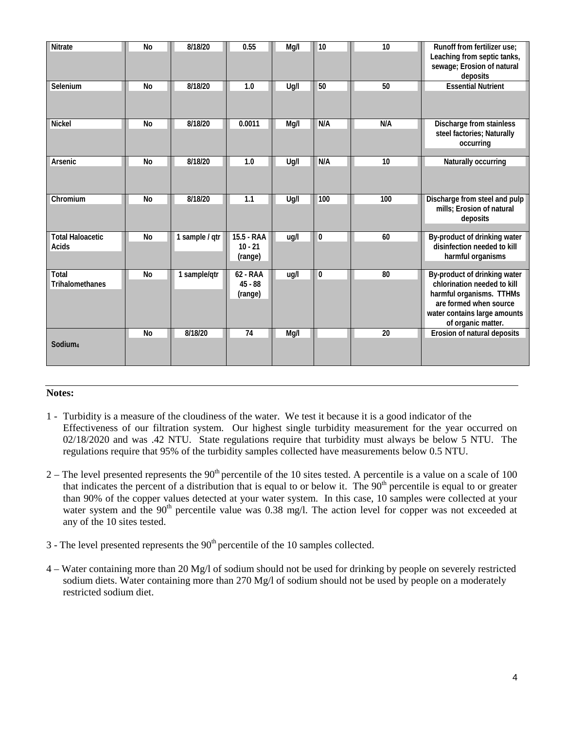| Nitrate                          | <b>No</b> | 8/18/20        | 0.55                               | Mg/I | 10           | 10  | Runoff from fertilizer use;<br>Leaching from septic tanks,<br>sewage; Erosion of natural<br>deposits                                                                    |
|----------------------------------|-----------|----------------|------------------------------------|------|--------------|-----|-------------------------------------------------------------------------------------------------------------------------------------------------------------------------|
| Selenium                         | No        | 8/18/20        | 1.0                                | Ug/I | 50           | 50  | <b>Essential Nutrient</b>                                                                                                                                               |
| <b>Nickel</b>                    | <b>No</b> | 8/18/20        | 0.0011                             | Mg/I | N/A          | N/A | Discharge from stainless<br>steel factories; Naturally<br>occurring                                                                                                     |
| Arsenic                          | <b>No</b> | 8/18/20        | 1.0                                | Ug/I | N/A          | 10  | Naturally occurring                                                                                                                                                     |
| Chromium                         | <b>No</b> | 8/18/20        | 1.1                                | Ug/I | 100          | 100 | Discharge from steel and pulp<br>mills; Erosion of natural<br>deposits                                                                                                  |
| <b>Total Haloacetic</b><br>Acids | <b>No</b> | 1 sample / qtr | 15.5 - RAA<br>$10 - 21$<br>(range) | ug/l | $\mathbf{0}$ | 60  | By-product of drinking water<br>disinfection needed to kill<br>harmful organisms                                                                                        |
| Total<br>Trihalomethanes         | <b>No</b> | 1 sample/qtr   | 62 - RAA<br>$45 - 88$<br>(range)   | ug/l | $\mathbf{0}$ | 80  | By-product of drinking water<br>chlorination needed to kill<br>harmful organisms. TTHMs<br>are formed when source<br>water contains large amounts<br>of organic matter. |
| Sodium <sub>4</sub>              | <b>No</b> | 8/18/20        | 74                                 | Mg/I |              | 20  | Erosion of natural deposits                                                                                                                                             |

#### **Notes:**

- 1 Turbidity is a measure of the cloudiness of the water. We test it because it is a good indicator of the Effectiveness of our filtration system. Our highest single turbidity measurement for the year occurred on 02/18/2020 and was .42 NTU. State regulations require that turbidity must always be below 5 NTU. The regulations require that 95% of the turbidity samples collected have measurements below 0.5 NTU.
- $2 -$  The level presented represents the 90<sup>th</sup> percentile of the 10 sites tested. A percentile is a value on a scale of 100 that indicates the percent of a distribution that is equal to or below it. The  $90<sup>th</sup>$  percentile is equal to or greater than 90% of the copper values detected at your water system. In this case, 10 samples were collected at your water system and the 90<sup>th</sup> percentile value was 0.38 mg/l. The action level for copper was not exceeded at any of the 10 sites tested.
- $3$  The level presented represents the  $90<sup>th</sup>$  percentile of the 10 samples collected.
- 4 Water containing more than 20 Mg/l of sodium should not be used for drinking by people on severely restricted sodium diets. Water containing more than 270 Mg/l of sodium should not be used by people on a moderately restricted sodium diet.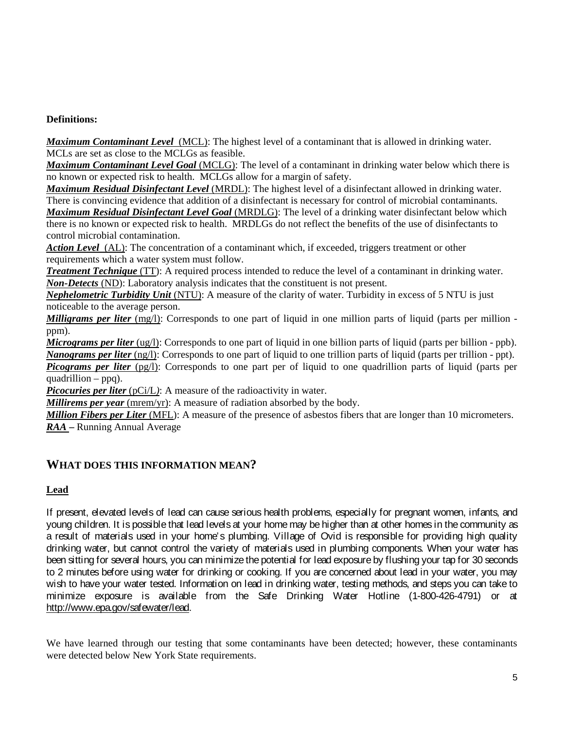### **Definitions:**

*Maximum Contaminant Level*(MCL): The highest level of a contaminant that is allowed in drinking water. MCLs are set as close to the MCLGs as feasible.

*Maximum Contaminant Level Goal* (MCLG): The level of a contaminant in drinking water below which there is no known or expected risk to health. MCLGs allow for a margin of safety.

*Maximum Residual Disinfectant Level* (MRDL): The highest level of a disinfectant allowed in drinking water. There is convincing evidence that addition of a disinfectant is necessary for control of microbial contaminants.

*Maximum Residual Disinfectant Level Goal* (MRDLG): The level of a drinking water disinfectant below which there is no known or expected risk to health. MRDLGs do not reflect the benefits of the use of disinfectants to control microbial contamination.

*Action Level*(AL): The concentration of a contaminant which, if exceeded, triggers treatment or other requirements which a water system must follow.

*Treatment Technique* (TT): A required process intended to reduce the level of a contaminant in drinking water. *Non-Detects* (ND): Laboratory analysis indicates that the constituent is not present.

*Nephelometric Turbidity Unit* (NTU): A measure of the clarity of water. Turbidity in excess of 5 NTU is just noticeable to the average person.

*Milligrams per liter* (mg/l): Corresponds to one part of liquid in one million parts of liquid (parts per million ppm).

*Micrograms per liter* (ug/l): Corresponds to one part of liquid in one billion parts of liquid (parts per billion - ppb). *Nanograms per liter* (ng/l): Corresponds to one part of liquid to one trillion parts of liquid (parts per trillion - ppt).

*Picograms per liter* (pg/l): Corresponds to one part per of liquid to one quadrillion parts of liquid (parts per quadrillion – ppq).

*Picocuries per liter* (pCi/L): A measure of the radioactivity in water.

*Millirems per year* (mrem/yr): A measure of radiation absorbed by the body.

*Million Fibers per Liter* (MFL): A measure of the presence of asbestos fibers that are longer than 10 micrometers. *RAA* **–** Running Annual Average

# **WHAT DOES THIS INFORMATION MEAN?**

### **Lead**

If present, elevated levels of lead can cause serious health problems, especially for pregnant women, infants, and young children. It is possible that lead levels at your home may be higher than at other homes in the community as a result of materials used in your home's plumbing. Village of Ovid is responsible for providing high quality drinking water, but cannot control the variety of materials used in plumbing components. When your water has been sitting for several hours, you can minimize the potential for lead exposure by flushing your tap for 30 seconds to 2 minutes before using water for drinking or cooking. If you are concerned about lead in your water, you may wish to have your water tested. Information on lead in drinking water, testing methods, and steps you can take to minimize exposure is available from the Safe Drinking Water Hotline (1-800-426-4791) or at http://www.epa.gov/safewater/lead.

We have learned through our testing that some contaminants have been detected; however, these contaminants were detected below New York State requirements.